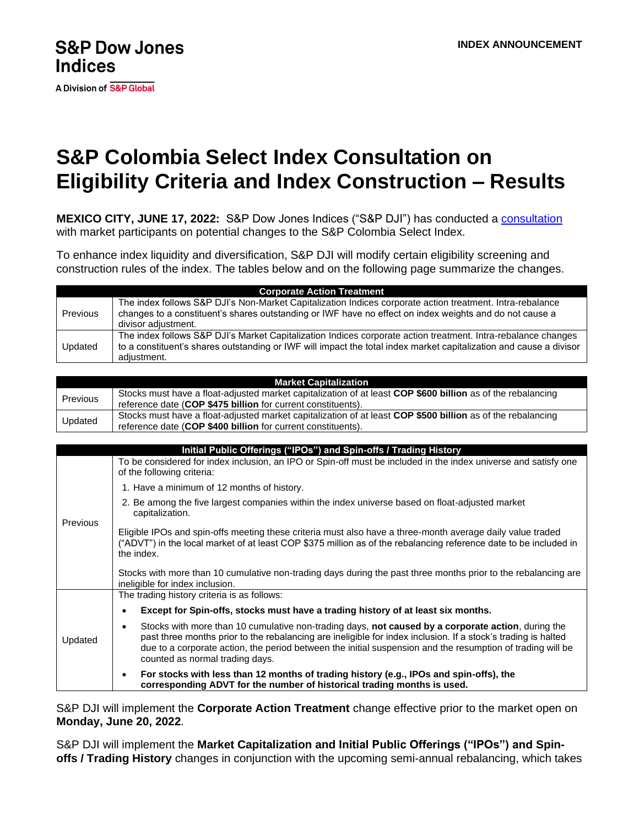A Division of S&P Global

## **S&P Colombia Select Index Consultation on Eligibility Criteria and Index Construction – Results**

**MEXICO CITY, JUNE 17, 2022:** S&P Dow Jones Indices ("S&P DJI") has conducted a [consultation](https://www.spglobal.com/spdji/en/documents/indexnews/announcements/20220520-1452611/1452611_spcolombiaselectconsultationoneligibilitycriteriaandindexconstruction5-20-2022.pdf) with market participants on potential changes to the S&P Colombia Select Index.

To enhance index liquidity and diversification, S&P DJI will modify certain eligibility screening and construction rules of the index. The tables below and on the following page summarize the changes.

| <b>Corporate Action Treatment</b> |                                                                                                                                                                                                                                                    |  |
|-----------------------------------|----------------------------------------------------------------------------------------------------------------------------------------------------------------------------------------------------------------------------------------------------|--|
| Previous                          | The index follows S&P DJI's Non-Market Capitalization Indices corporate action treatment. Intra-rebalance<br>changes to a constituent's shares outstanding or IWF have no effect on index weights and do not cause a<br>divisor adiustment.        |  |
| Updated                           | The index follows S&P DJI's Market Capitalization Indices corporate action treatment. Intra-rebalance changes<br>to a constituent's shares outstanding or IWF will impact the total index market capitalization and cause a divisor<br>adjustment. |  |

| <b>Market Capitalization</b> |                                                                                                                                                                             |  |
|------------------------------|-----------------------------------------------------------------------------------------------------------------------------------------------------------------------------|--|
| Previous                     | Stocks must have a float-adjusted market capitalization of at least COP \$600 billion as of the rebalancing<br>reference date (COP \$475 billion for current constituents). |  |
| Updated                      | Stocks must have a float-adjusted market capitalization of at least COP \$500 billion as of the rebalancing<br>reference date (COP \$400 billion for current constituents). |  |

| Initial Public Offerings ("IPOs") and Spin-offs / Trading History |                                                                                                                                                                                                                                                                                                                                                                           |  |
|-------------------------------------------------------------------|---------------------------------------------------------------------------------------------------------------------------------------------------------------------------------------------------------------------------------------------------------------------------------------------------------------------------------------------------------------------------|--|
| Previous                                                          | To be considered for index inclusion, an IPO or Spin-off must be included in the index universe and satisfy one<br>of the following criteria:                                                                                                                                                                                                                             |  |
|                                                                   | 1. Have a minimum of 12 months of history.                                                                                                                                                                                                                                                                                                                                |  |
|                                                                   | 2. Be among the five largest companies within the index universe based on float-adjusted market<br>capitalization.                                                                                                                                                                                                                                                        |  |
|                                                                   | Eligible IPOs and spin-offs meeting these criteria must also have a three-month average daily value traded<br>("ADVT") in the local market of at least COP \$375 million as of the rebalancing reference date to be included in<br>the index.                                                                                                                             |  |
|                                                                   | Stocks with more than 10 cumulative non-trading days during the past three months prior to the rebalancing are<br>ineligible for index inclusion.                                                                                                                                                                                                                         |  |
| Updated                                                           | The trading history criteria is as follows:                                                                                                                                                                                                                                                                                                                               |  |
|                                                                   | Except for Spin-offs, stocks must have a trading history of at least six months.<br>٠                                                                                                                                                                                                                                                                                     |  |
|                                                                   | Stocks with more than 10 cumulative non-trading days, not caused by a corporate action, during the<br>٠<br>past three months prior to the rebalancing are ineligible for index inclusion. If a stock's trading is halted<br>due to a corporate action, the period between the initial suspension and the resumption of trading will be<br>counted as normal trading days. |  |
|                                                                   | For stocks with less than 12 months of trading history (e.g., IPOs and spin-offs), the<br>٠<br>corresponding ADVT for the number of historical trading months is used.                                                                                                                                                                                                    |  |

S&P DJI will implement the **Corporate Action Treatment** change effective prior to the market open on **Monday, June 20, 2022**.

S&P DJI will implement the **Market Capitalization and Initial Public Offerings ("IPOs") and Spinoffs / Trading History** changes in conjunction with the upcoming semi-annual rebalancing, which takes